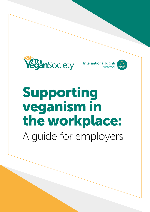





# Supporting veganism in the workplace: A guide for employers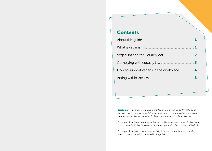## **Contents**

Disclaimer: *This guide is written for employers to offer general information and support only. It does not constitute legal advice and is not a substitute for dealing with specific workplace situations that may arise under current equality law.*

*The Vegan Society encourages employers to address each and every situation with vegans on an individual basis and seek formal legal advice if necessary or if in doubt.* 

*The Vegan Society accepts no responsibility for losses brought about by relying solely on the information contained in this guide.*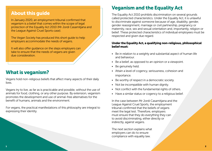## About this guide

In January 2020, an employment tribunal confirmed that veganism is a belief that comes within the scope of legal protection of the Equality Act 2010 (Mr Jordi Casamitjana and the League Against Cruel Sports case).

The Vegan Society has produced this short guide to help employers accommodate the needs of vegans.

It will also offer quidance on the steps employers can take to ensure that the needs of vegans are given due consideration.

# What is veganism?

Vegans hold non-religious beliefs that affect many aspects of their daily lives.

Vegans try to live, as far as is practicable and possible, without the use of animals for food, clothing, or any other purpose. By extension, veganism promotes the development and use of animal-free alternatives for the benefit of humans, animals and the environment.

For vegans, the practical manifestations of this philosophy are integral to expressing their identity.

# Veganism and the Equality Act

The Equality Act 2010 prohibits discrimination on several grounds called protected characteristics. Under the Equality Act, it is unlawful to discriminate against someone because of age, disability, gender, gender reassignment, marriage or civil partnership, pregnancy or maternity, race, sex and sexual orientation and, importantly, religion or belief. These protected characteristics of individual employees must be respected and given due regard.

#### Under the Equality Act, a qualifying non-religious, philosophical belief must:

- Be in relation to a weighty and substantial aspect of human life and behaviour.
- Be a belief, as opposed to an opinion or a viewpoint.
- Be genuinely held.
- Attain a level of cogency, seriousness, cohesion and importance.
- Be worthy of respect in a democratic society.
- Not be incompatible with human dignity.
- Not conflict with the fundamental rights of others.
- Have a similar status or cogency to a religious belief.

In the case between Mr Jordi Casamitjana and the League Against Cruel Sports, the employment tribunal confirmed that the beliefs of vegans meet the legal test. Therefore, employers must ensure that they do everything they can to avoid discriminating, either directly or indirectly, against vegans.

The next section explains what employers can do to ensure compliance with equality law.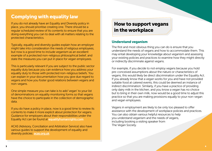# Complying with equality law

If you do not already have an Equality and Diversity policy in place, you should prioritise creating one. There should be a regular scheduled review of its contents to ensure that you are doing everything you can to deal with all matters relating to the protected characteristics.

Typically, equality and diversity guides explain how an employer might take into consideration the needs of religious employees, but now is a good time to include veganism as an excellent example of a protected non-religious philosophical belief, and state the measures you can put in place for vegan employees.

This is particularly relevant if you are subject to the public sector equality duty because you can evidence how you address your equality duty to those with protected non-religious beliefs. You can explain in your documentation how you give due regard to vegans and how you foster good relations between vegans and non-vegans.

One simple measure you can take is to add 'vegan' to your list of denominations on equality monitoring forms so that vegans have the choice to participate in the collection of demographic data.

If you do have a policy in place, now is a good time to review its contents to make it more explicit about protection for vegans. Guidance for employers about their responsibilities under the Equality Act can be found at [equalityhumanrights.com](http://equalityhumanrights.com).

ACAS (Advisory, Conciliation and Arbitration Service) also have various guides to support the development of equality and diversity policies: acas.org.uk.

# How to support vegans in the workplace

#### Understand veganism

The first and most obvious thing you can do is ensure that you understand the needs of vegans and how to accommodate them. This may entail developing your knowledge about veganism and assessing your existing policies and practices to examine how they might directly or indirectly discriminate against vegans.

For example, if you decide to not employ vegans because you hold pre-conceived assumptions about the nature or characteristics of vegans, this would likely be direct discrimination under the Equality Act. If you already know that a vegan works for you and have not provided suitable food at catered events, this could be deemed an instance of indirect discrimination. Similarly, if you have a practice of providing only dairy milk in the kitchen, and you know a vegan has no choice but to bring in their own milk, now would be a good time to adjust this practice so that you are making provisions equally to your non-vegan and vegan employees.

Vegans in employment are likely to be only too pleased to offer assistance with the development of workplace policies and practices. You can also obtain various helpful resources to help you understand veganism and the needs of vegans, including booking a visiting speaker from The Vegan Society.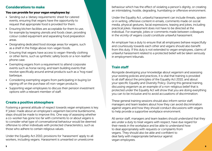### Considerations to make

## You can provide for your vegan employees by:

- Sending out a 'dietary requirements' sheet for catered events, ensuring that vegans have the opportunity to request that appropriate food is provided for them.
- Ensuring kitchen facilities are acceptable for them to use, for example by keeping utensils and foods clean, providing colour coded equipment and separating food preparation areas.
- Designating dedicated food storage areas for vegans, such as a shelf in the fridge above non-vegan foods.
- Ensuring that vegans have access to vegan-friendly clothing or other items, such as synthetic safety boots or a non-leather phone case.
- Exempting vegans from a requirement to attend corporate events such as horse racing, and team building events that revolve specifically around animal products such as a 'hog roast' barbeque.
- Considering exempting vegans from participating in buying (or signing off on the purchase of) non-vegan products.
- Supporting vegan employees to discuss their pension investment options with a relevant member of staff.

## Create a positive atmosphere

Fostering a general attitude of respect towards vegan employees is key. If 'jokes' made about an employee's veganism become burdensome, steps should be made to improve this. One way of assessing whether a co-worker has gone too far with comments to or about vegans is to consider what type of conversational behaviour would be deemed offensive to other individuals with protected characteristics, such as those who adhere to certain religious values.

Under the Equality Act 2010, provisions for 'harassment' apply to all workers, including vegans. Harassment is unwanted or unwelcome behaviour which has the effect of violating a person's dignity, or creating an intimidating, hostile, degrading, humiliating or offensive environment.

Under the Equality Act, unlawful harassment can include threats, spoken or in writing, offensive content in emails, comments made on social media, physical gestures, facial expressions, teasing and jokes, including practical jokes. Harassment does not have to be directed at the individual. For example, jokes or comments made between colleagues in the vicinity of vegans could constitute unlawful harassment.

An employer has a duty to ensure that all employees behave respectfully and courteously towards each other and vegans should also benefit from this duty. If this duty is not extended to vegan employees, claims of unlawful harassment related to a protected belief will be taken seriously in employment tribunals.

## Train staff

Alongside developing your knowledge about veganism and assessing your existing policies and practices, it is vital that training is provided to all staff about the principles of the Equality Act 2010, and about your specific Equality and Diversity Policy. During this general training, discussing veganism as an example of a non-religious belief that is protected under the Equality Act will show that you are doing everything you can to be inclusive and to avoid accusations of discrimination.

These general training sessions should also inform senior staff, managers and team leaders about how they can avoid discrimination against vegans and how they should conduct discussions with vegans to help provide a supportive workplace environment.

All senior staff, managers and team leaders should understand that they are under a duty to treat vegans with respect, have due regard for their needs in the workplace and be able to understand how to deal appropriately with requests or complaints from vegans. They should also be able and confident to deal fairly with inappropriate behaviour against vegan employees.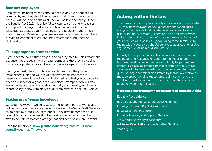#### Reassure employees

Employees, including vegans, should not feel anxious about raising complaints, and they should be reassured that if they have a specific need or wish to raise a complaint, they will be taken seriously. Under the Equality Act 2010, it is unlawful to victimise someone who raises a complaint. If a vegan makes a complaint under the Act but is subsequently treated badly for doing so, this could amount to a claim of victimisation. Reassuring your employees will ensure that members of staff are confident to call out unfair treatment without fear of victimisation.

### Take appropriate, prompt action

If you become aware that a vegan is being subjected to unfair treatment because they are vegan, or if a vegan complains that they are coping with inappropriate behaviour because they are vegan, do not ignore it.

It is in your best interests to take action to deal with the problem immediately. Doing so will ensure that matters do not escalate, perpetrators are educated and/or disciplined, and that you continue to develop respect for vegans in the workplace. Prompt action will also evidence that you are serious about equality and diversity, and have a robust policy to deal with claims of unfair treatment in a timely manner.

#### Making use of vegan knowledge

Consider the ways in which vegans can help contribute to workplace policies and practices. One excellent initiative is the Vegan Staff Network established by Suffolk County Council. They have become the first council to launch a Vegan Staff Network, allowing vegan members of staff to contribute to corporate agendas and decisions where relevant.

Read the full story at [www.plantbasednews.org/culture/uk-local](http://www.plantbasednews.org/culture/uk-local-council-vegan-staff-network)[council-vegan-staff-network](http://www.plantbasednews.org/culture/uk-local-council-vegan-staff-network).

# Acting within the law

The Equality Act 2010 places a duty on you not to discriminate. You may be very aware of how direct discrimination arises and you may be able to eliminate unfair and unlawful direct discrimination immediately. There are, however, times when indirect discrimination is an unfortunate, inadvertent effect of your practices and policies. By examining these in relation to the needs of vegans you should be able to address and resolve any unintentional indirect discrimination.

Equality law requires that you take a balanced view regarding the needs of employees in relation to the needs of your business. Workplace discrimination will only be permissible if there is a clear, legitimate aim that cannot be met without a degree of interference with the protected characteristic in question. Any discrimination suffered by individual employees must be proportional to the legitimate aim sought and the employer must show that they did everything they possibly could to avoid discrimination.

#### Here are some resources where you can read more about this:

#### Equality Act guidance:

[gov.uk/guidance/equality-act-2010-guidance](http://gov.uk/guidance/equality-act-2010-guidance) Equality & Human Rights Commission: [equalityhumanrights.com/en](http://equalityhumanrights.com/en )  Equality Advisory and Support Service: [www.equalityadvisoryservice.com](http://www.equalityadvisoryservice.com) Advisory, Conciliation and Arbitration Service: [acas.org.uk](http://acas.org.uk)